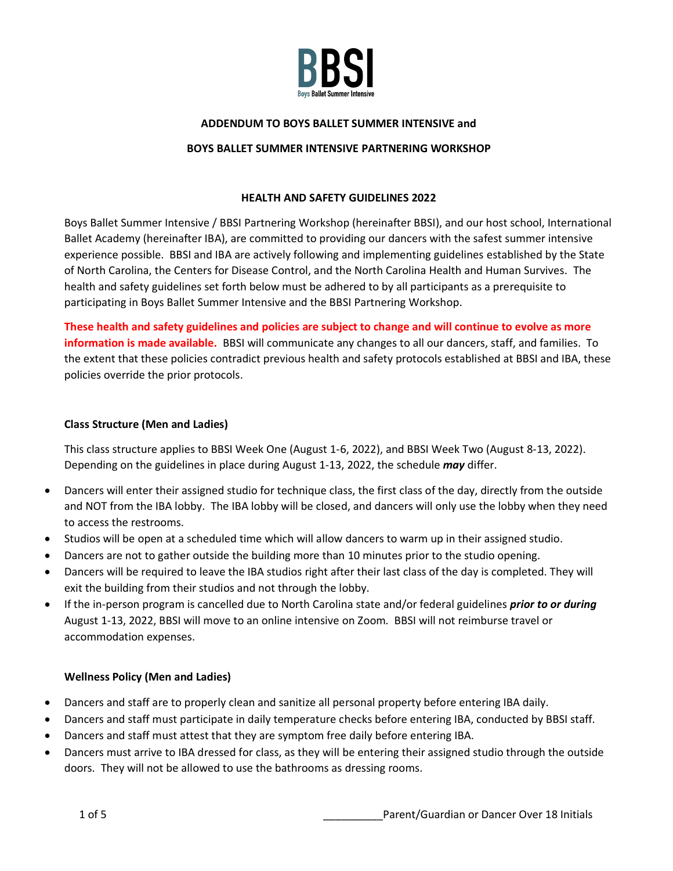

## **ADDENDUM TO BOYS BALLET SUMMER INTENSIVE and**

### **BOYS BALLET SUMMER INTENSIVE PARTNERING WORKSHOP**

### **HEALTH AND SAFETY GUIDELINES 2022**

Boys Ballet Summer Intensive / BBSI Partnering Workshop (hereinafter BBSI), and our host school, International Ballet Academy (hereinafter IBA), are committed to providing our dancers with the safest summer intensive experience possible. BBSI and IBA are actively following and implementing guidelines established by the State of North Carolina, the Centers for Disease Control, and the North Carolina Health and Human Survives. The health and safety guidelines set forth below must be adhered to by all participants as a prerequisite to participating in Boys Ballet Summer Intensive and the BBSI Partnering Workshop.

**These health and safety guidelines and policies are subject to change and will continue to evolve as more information is made available.** BBSI will communicate any changes to all our dancers, staff, and families. To the extent that these policies contradict previous health and safety protocols established at BBSI and IBA, these policies override the prior protocols.

### **Class Structure (Men and Ladies)**

This class structure applies to BBSI Week One (August 1-6, 2022), and BBSI Week Two (August 8-13, 2022). Depending on the guidelines in place during August 1-13, 2022, the schedule *may* differ.

- Dancers will enter their assigned studio for technique class, the first class of the day, directly from the outside and NOT from the IBA lobby. The IBA lobby will be closed, and dancers will only use the lobby when they need to access the restrooms.
- Studios will be open at a scheduled time which will allow dancers to warm up in their assigned studio.
- Dancers are not to gather outside the building more than 10 minutes prior to the studio opening.
- Dancers will be required to leave the IBA studios right after their last class of the day is completed. They will exit the building from their studios and not through the lobby.
- If the in-person program is cancelled due to North Carolina state and/or federal guidelines *prior to or during* August 1-13, 2022, BBSI will move to an online intensive on Zoom*.* BBSI will not reimburse travel or accommodation expenses.

## **Wellness Policy (Men and Ladies)**

- Dancers and staff are to properly clean and sanitize all personal property before entering IBA daily.
- Dancers and staff must participate in daily temperature checks before entering IBA, conducted by BBSI staff.
- Dancers and staff must attest that they are symptom free daily before entering IBA.
- Dancers must arrive to IBA dressed for class, as they will be entering their assigned studio through the outside doors. They will not be allowed to use the bathrooms as dressing rooms.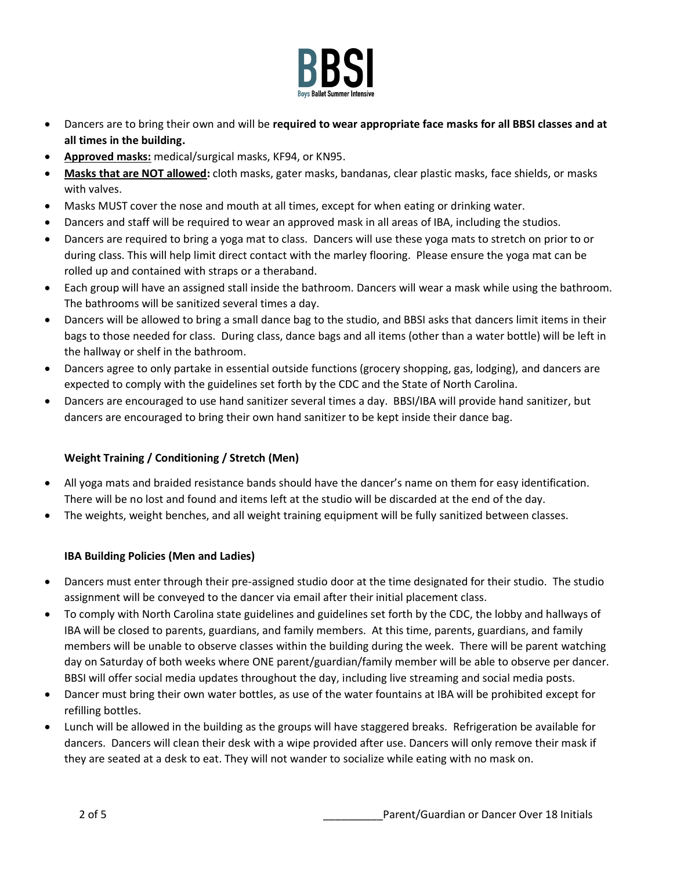

- Dancers are to bring their own and will be **required to wear appropriate face masks for all BBSI classes and at all times in the building.**
- **Approved masks:** medical/surgical masks, KF94, or KN95.
- **Masks that are NOT allowed:** cloth masks, gater masks, bandanas, clear plastic masks, face shields, or masks with valves.
- Masks MUST cover the nose and mouth at all times, except for when eating or drinking water.
- Dancers and staff will be required to wear an approved mask in all areas of IBA, including the studios.
- Dancers are required to bring a yoga mat to class. Dancers will use these yoga mats to stretch on prior to or during class. This will help limit direct contact with the marley flooring. Please ensure the yoga mat can be rolled up and contained with straps or a theraband.
- Each group will have an assigned stall inside the bathroom. Dancers will wear a mask while using the bathroom. The bathrooms will be sanitized several times a day.
- Dancers will be allowed to bring a small dance bag to the studio, and BBSI asks that dancers limit items in their bags to those needed for class. During class, dance bags and all items (other than a water bottle) will be left in the hallway or shelf in the bathroom.
- Dancers agree to only partake in essential outside functions (grocery shopping, gas, lodging), and dancers are expected to comply with the guidelines set forth by the CDC and the State of North Carolina.
- Dancers are encouraged to use hand sanitizer several times a day. BBSI/IBA will provide hand sanitizer, but dancers are encouraged to bring their own hand sanitizer to be kept inside their dance bag.

# **Weight Training / Conditioning / Stretch (Men)**

- All yoga mats and braided resistance bands should have the dancer's name on them for easy identification. There will be no lost and found and items left at the studio will be discarded at the end of the day.
- The weights, weight benches, and all weight training equipment will be fully sanitized between classes.

# **IBA Building Policies (Men and Ladies)**

- Dancers must enter through their pre-assigned studio door at the time designated for their studio. The studio assignment will be conveyed to the dancer via email after their initial placement class.
- To comply with North Carolina state guidelines and guidelines set forth by the CDC, the lobby and hallways of IBA will be closed to parents, guardians, and family members. At this time, parents, guardians, and family members will be unable to observe classes within the building during the week. There will be parent watching day on Saturday of both weeks where ONE parent/guardian/family member will be able to observe per dancer. BBSI will offer social media updates throughout the day, including live streaming and social media posts.
- Dancer must bring their own water bottles, as use of the water fountains at IBA will be prohibited except for refilling bottles.
- Lunch will be allowed in the building as the groups will have staggered breaks. Refrigeration be available for dancers. Dancers will clean their desk with a wipe provided after use. Dancers will only remove their mask if they are seated at a desk to eat. They will not wander to socialize while eating with no mask on.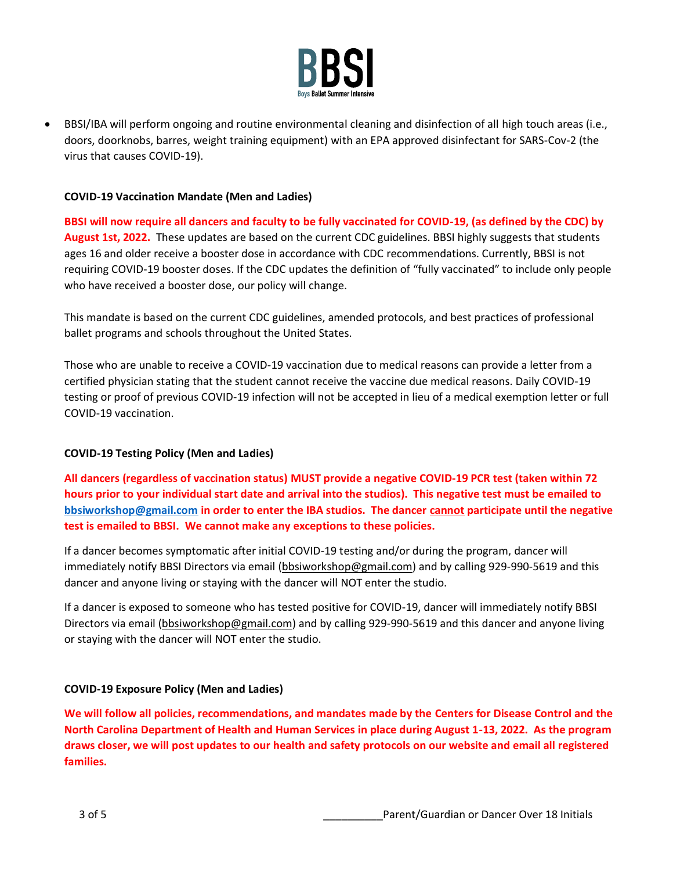

• BBSI/IBA will perform ongoing and routine environmental cleaning and disinfection of all high touch areas (i.e., doors, doorknobs, barres, weight training equipment) with an EPA approved disinfectant for SARS-Cov-2 (the virus that causes COVID-19).

### **COVID-19 Vaccination Mandate (Men and Ladies)**

**BBSI will now require all dancers and faculty to be fully vaccinated for COVID-19, (as defined by the CDC) by August 1st, 2022.** These updates are based on the current CDC guidelines. BBSI highly suggests that students ages 16 and older receive a booster dose in accordance with CDC recommendations. Currently, BBSI is not requiring COVID-19 booster doses. If the CDC updates the definition of "fully vaccinated" to include only people who have received a booster dose, our policy will change.

This mandate is based on the current CDC guidelines, amended protocols, and best practices of professional ballet programs and schools throughout the United States.

Those who are unable to receive a COVID-19 vaccination due to medical reasons can provide a letter from a certified physician stating that the student cannot receive the vaccine due medical reasons. Daily COVID-19 testing or proof of previous COVID-19 infection will not be accepted in lieu of a medical exemption letter or full COVID-19 vaccination.

## **COVID-19 Testing Policy (Men and Ladies)**

**All dancers (regardless of vaccination status) MUST provide a negative COVID-19 PCR test (taken within 72 hours prior to your individual start date and arrival into the studios). This negative test must be emailed to [bbsiworkshop@gmail.com](mailto:bbsiworkshop@gmail.com) in order to enter the IBA studios. The dancer cannot participate until the negative test is emailed to BBSI. We cannot make any exceptions to these policies.**

If a dancer becomes symptomatic after initial COVID-19 testing and/or during the program, dancer will immediately notify BBSI Directors via email [\(bbsiworkshop@gmail.com\)](mailto:bbsiworkshop@gmail.com) and by calling 929-990-5619 and this dancer and anyone living or staying with the dancer will NOT enter the studio.

If a dancer is exposed to someone who has tested positive for COVID-19, dancer will immediately notify BBSI Directors via email [\(bbsiworkshop@gmail.com\)](mailto:bbsiworkshop@gmail.com) and by calling 929-990-5619 and this dancer and anyone living or staying with the dancer will NOT enter the studio.

## **COVID-19 Exposure Policy (Men and Ladies)**

**We will follow all policies, recommendations, and mandates made by the Centers for Disease Control and the North Carolina Department of Health and Human Services in place during August 1-13, 2022. As the program draws closer, we will post updates to our health and safety protocols on our website and email all registered families.**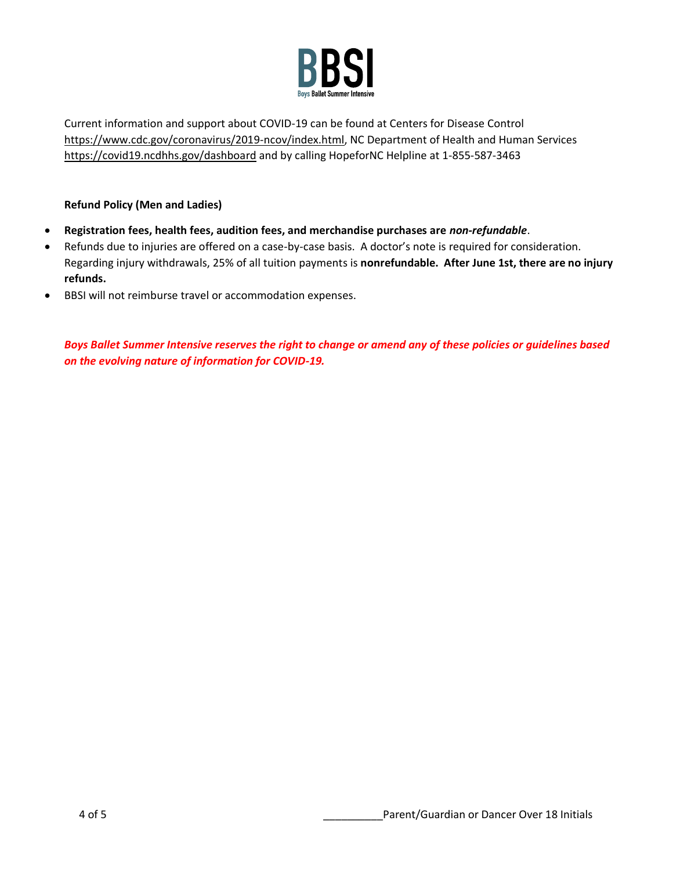

Current information and support about COVID-19 can be found at Centers for Disease Control [https://www.cdc.gov/coronavirus/2019-ncov/index.html,](https://www.cdc.gov/coronavirus/2019-ncov/index.html) NC Department of Health and Human Services <https://covid19.ncdhhs.gov/dashboard> and by calling HopeforNC Helpline at 1-855-587-3463

# **Refund Policy (Men and Ladies)**

- **Registration fees, health fees, audition fees, and merchandise purchases are** *non-refundable*.
- Refunds due to injuries are offered on a case-by-case basis. A doctor's note is required for consideration. Regarding injury withdrawals, 25% of all tuition payments is **nonrefundable. After June 1st, there are no injury refunds.**
- BBSI will not reimburse travel or accommodation expenses.

*Boys Ballet Summer Intensive reserves the right to change or amend any of these policies or guidelines based on the evolving nature of information for COVID-19.*